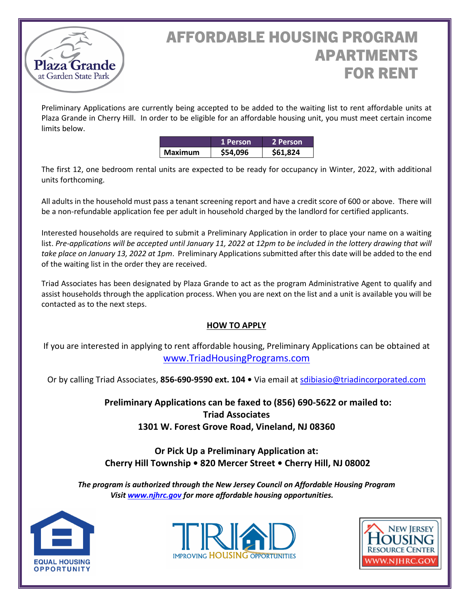

# AFFORDABLE HOUSING PROGRAM APARTMENTS FOR RENT

Preliminary Applications are currently being accepted to be added to the waiting list to rent affordable units at Plaza Grande in Cherry Hill. In order to be eligible for an affordable housing unit, you must meet certain income limits below.

|                | 1 Person | 2 Person |
|----------------|----------|----------|
| <b>Maximum</b> | \$54,096 | \$61.824 |

The first 12, one bedroom rental units are expected to be ready for occupancy in Winter, 2022, with additional units forthcoming.

All adults in the household must pass a tenant screening report and have a credit score of 600 or above. There will be a non-refundable application fee per adult in household charged by the landlord for certified applicants.

Interested households are required to submit a Preliminary Application in order to place your name on a waiting list. Pre-applications will be accepted until January 11, 2022 at 12pm to be included in the lottery drawing that will *take place on January 13, 2022 at 1pm*. Preliminary Applications submitted after this date will be added to the end of the waiting list in the order they are received.

Triad Associates has been designated by Plaza Grande to act as the program Administrative Agent to qualify and assist households through the application process. When you are next on the list and a unit is available you will be contacted as to the next steps.

## **HOW TO APPLY**

If you are interested in applying to rent affordable housing, Preliminary Applications can be obtained at [www.TriadHousingPrograms.com](http://www.triadhousingprograms.com/)

Or by calling Triad Associates, **856-690-9590 ext. 104 •** Via email at [sdibiasio@triadincorporated.com](mailto:bmingey@triadincorporated.com)

**Preliminary Applications can be faxed to (856) 690-5622 or mailed to: Triad Associates 1301 W. Forest Grove Road, Vineland, NJ 08360**

# **Or Pick Up a Preliminary Application at: Cherry Hill Township • 820 Mercer Street • Cherry Hill, NJ 08002**

*The program is authorized through the New Jersey Council on Affordable Housing Program Visit [www.njhrc.gov](http://www.njhrc.gov/) for more affordable housing opportunities.*